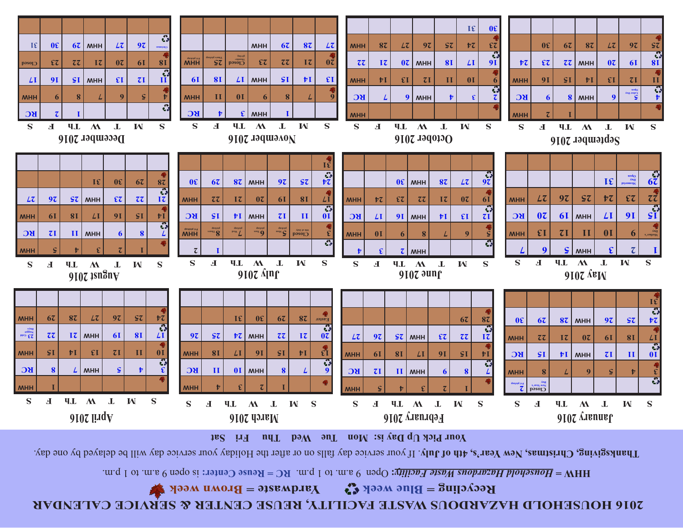### **2016 HOUSEHOLD HAZARDOUS WASTER FACILITY, REUSE CENTER & SERVICE CALENDAR BROWN WEEK CALENDAR BROWN WEEK**

**is open 9 a.m. to 1 p.m. <b>Reform than 10 a.m.**  $\mathbf{F}(\mathbf{C}) = \mathbf{F}(\mathbf{C})$  *House Facility:*  $\mathbf{C}(\mathbf{C})$  a.m.  $\mathbf{C}(\mathbf{C})$  is  $\mathbf{D}(\mathbf{C})$  and  $\mathbf{C}(\mathbf{C})$  is  $\mathbf{D}(\mathbf{C})$  and  $\mathbf{D}(\mathbf{C})$  is  $\mathbf{D}(\mathbf{C})$ 

Thanksgiving, Christmas, New Year's, 4th of July. If your service day fish in after the Holiday your service day will be delayed by one day.



**31 30**